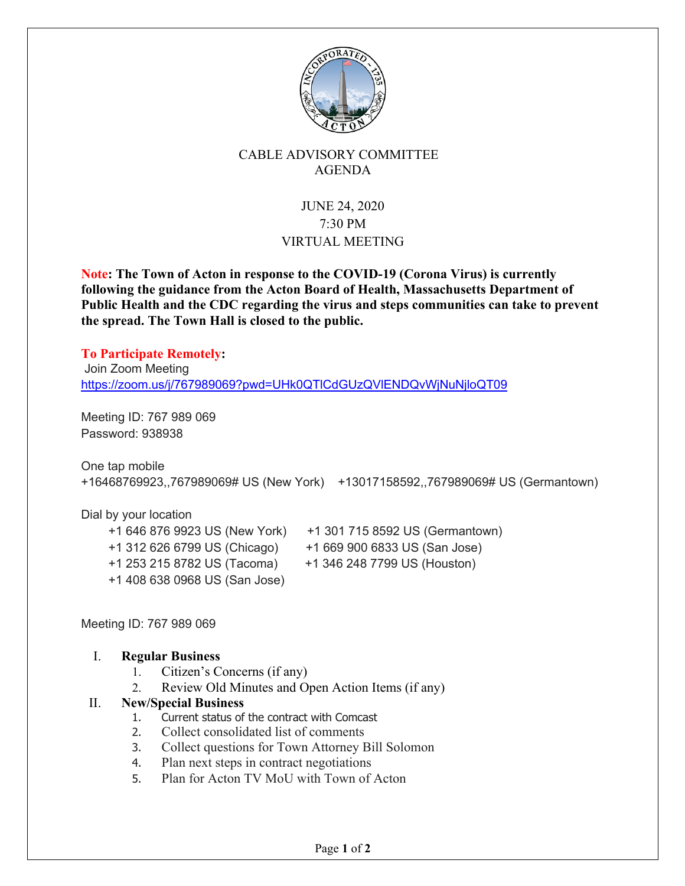

## CABLE ADVISORY COMMITTEE AGENDA

## JUNE 24, 2020 7:30 PM VIRTUAL MEETING

**Note: The Town of Acton in response to the COVID-19 (Corona Virus) is currently following the guidance from the Acton Board of Health, Massachusetts Department of Public Health and the CDC regarding the virus and steps communities can take to prevent the spread. The Town Hall is closed to the public.** 

**To Participate Remotely:** Join Zoom Meeting https://zoom.us/j/767989069?pwd=UHk0QTlCdGUzQVlENDQvWjNuNjloQT09

Meeting ID: 767 989 069 Password: 938938

One tap mobile +16468769923,,767989069# US (New York) +13017158592,,767989069# US (Germantown)

Dial by your location +1 253 215 8782 US (Tacoma) +1 346 248 7799 US (Houston) +1 408 638 0968 US (San Jose)

- +1 646 876 9923 US (New York) +1 301 715 8592 US (Germantown)
- +1 312 626 6799 US (Chicago) +1 669 900 6833 US (San Jose)
	-

Meeting ID: 767 989 069

## I. **Regular Business**

- 1. Citizen's Concerns (if any)
- 2. Review Old Minutes and Open Action Items (if any)

## II. **New/Special Business**

- 1. Current status of the contract with Comcast
- 2. Collect consolidated list of comments
- 3. Collect questions for Town Attorney Bill Solomon
- 4. Plan next steps in contract negotiations
- 5. Plan for Acton TV MoU with Town of Acton